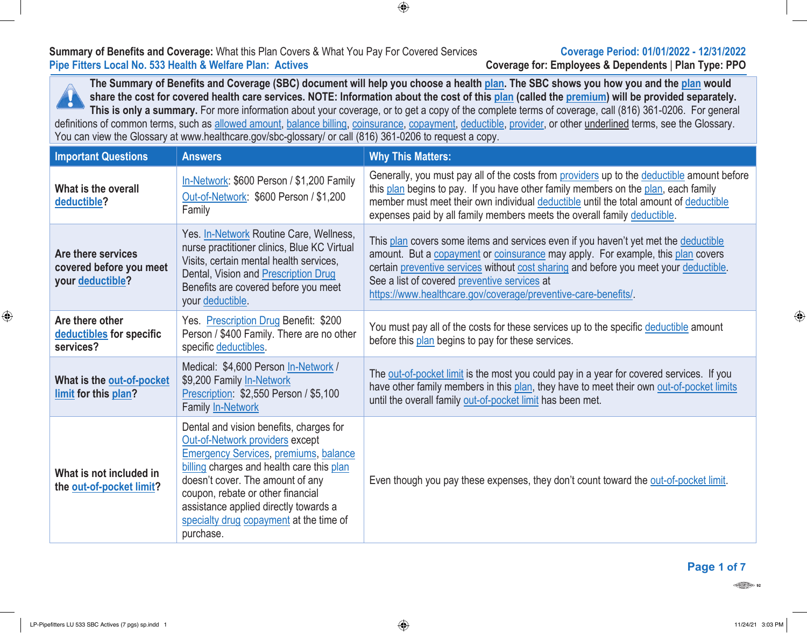# **Summary of Benefits and Coverage:** What this Plan Covers & What You Pay For Covered Services **Coverage Period: 01/01/2022 - 12/31/2022**

**Pipe Fitters Local No. 533 Health & Welfare Plan: Actives Coverage for: Employees & Dependents** | **Plan Type: PPO**

The Summary of Benefits and Coverage (SBC) document will help you choose a health plan. The SBC shows you how you and the plan would share the cost for covered health care services. NOTE: Information about the cost of this plan (called the premium) will be provided separately. ¥ **This is only a summary.** For more information about your coverage, or to get a copy of the complete terms of coverage, call (816) 361-0206. For general definitions of common terms, such as allowed amount, balance billing, coinsurance, copayment, deductible, provider, or other underlined terms, see the Glossary. You can view the Glossary at www.healthcare.gov/sbc-glossary/ or call (816) 361-0206 to request a copy.

 $\bigoplus$ 

| <b>Important Questions</b>                                        | <b>Answers</b>                                                                                                                                                                                                                                                                                                                                    | <b>Why This Matters:</b>                                                                                                                                                                                                                                                                                                                                                          |
|-------------------------------------------------------------------|---------------------------------------------------------------------------------------------------------------------------------------------------------------------------------------------------------------------------------------------------------------------------------------------------------------------------------------------------|-----------------------------------------------------------------------------------------------------------------------------------------------------------------------------------------------------------------------------------------------------------------------------------------------------------------------------------------------------------------------------------|
| What is the overall<br>deductible?                                | In-Network: \$600 Person / \$1,200 Family<br>Out-of-Network: \$600 Person / \$1,200<br>Family                                                                                                                                                                                                                                                     | Generally, you must pay all of the costs from providers up to the deductible amount before<br>this plan begins to pay. If you have other family members on the plan, each family<br>member must meet their own individual deductible until the total amount of deductible<br>expenses paid by all family members meets the overall family deductible.                             |
| Are there services<br>covered before you meet<br>your deductible? | Yes. In-Network Routine Care, Wellness,<br>nurse practitioner clinics, Blue KC Virtual<br>Visits, certain mental health services,<br>Dental, Vision and Prescription Drug<br>Benefits are covered before you meet<br>your deductible.                                                                                                             | This plan covers some items and services even if you haven't yet met the deductible<br>amount. But a copayment or coinsurance may apply. For example, this plan covers<br>certain preventive services without cost sharing and before you meet your deductible.<br>See a list of covered preventive services at<br>https://www.healthcare.gov/coverage/preventive-care-benefits/. |
| Are there other<br>deductibles for specific<br>services?          | Yes. Prescription Drug Benefit: \$200<br>Person / \$400 Family. There are no other<br>specific deductibles.                                                                                                                                                                                                                                       | You must pay all of the costs for these services up to the specific deductible amount<br>before this plan begins to pay for these services.                                                                                                                                                                                                                                       |
| What is the out-of-pocket<br>limit for this plan?                 | Medical: \$4,600 Person In-Network /<br>\$9,200 Family In-Network<br>Prescription: \$2,550 Person / \$5,100<br>Family In-Network                                                                                                                                                                                                                  | The out-of-pocket limit is the most you could pay in a year for covered services. If you<br>have other family members in this plan, they have to meet their own out-of-pocket limits<br>until the overall family out-of-pocket limit has been met.                                                                                                                                |
| What is not included in<br>the out-of-pocket limit?               | Dental and vision benefits, charges for<br>Out-of-Network providers except<br><b>Emergency Services, premiums, balance</b><br>billing charges and health care this plan<br>doesn't cover. The amount of any<br>coupon, rebate or other financial<br>assistance applied directly towards a<br>specialty drug copayment at the time of<br>purchase. | Even though you pay these expenses, they don't count toward the out-of-pocket limit.                                                                                                                                                                                                                                                                                              |

## **Page 1 of 7**

 $\frac{1}{\sqrt{\log n}}$ 

 $\bigoplus$ 

⊕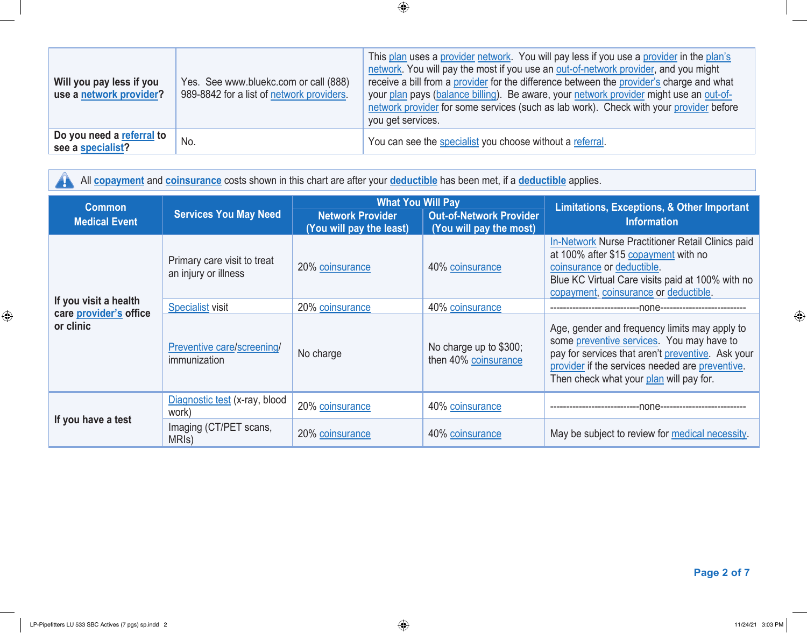| Will you pay less if you<br>use a network provider? | Yes. See www.bluekc.com or call (888)<br>989-8842 for a list of network providers. | This plan uses a provider network. You will pay less if you use a provider in the plan's<br>network. You will pay the most if you use an out-of-network provider, and you might<br>receive a bill from a provider for the difference between the provider's charge and what<br>your plan pays (balance billing). Be aware, your network provider might use an out-of-<br>network provider for some services (such as lab work). Check with your provider before<br>you get services. |
|-----------------------------------------------------|------------------------------------------------------------------------------------|--------------------------------------------------------------------------------------------------------------------------------------------------------------------------------------------------------------------------------------------------------------------------------------------------------------------------------------------------------------------------------------------------------------------------------------------------------------------------------------|
| Do you need a referral to<br>see a specialist?      | No.                                                                                | You can see the specialist you choose without a referral.                                                                                                                                                                                                                                                                                                                                                                                                                            |

All **copayment** and **coinsurance** costs shown in this chart are after your **deductible** has been met, if a **deductible** applies.

| <b>Common</b>                                   |                                                     | <b>What You Will Pay</b>                            |                                                           | Limitations, Exceptions, & Other Important                                                                                                                                                                                                    |  |
|-------------------------------------------------|-----------------------------------------------------|-----------------------------------------------------|-----------------------------------------------------------|-----------------------------------------------------------------------------------------------------------------------------------------------------------------------------------------------------------------------------------------------|--|
| <b>Medical Event</b>                            | <b>Services You May Need</b>                        | <b>Network Provider</b><br>(You will pay the least) | <b>Out-of-Network Provider</b><br>(You will pay the most) | <b>Information</b>                                                                                                                                                                                                                            |  |
|                                                 | Primary care visit to treat<br>an injury or illness | 20% coinsurance                                     | 40% coinsurance                                           | In-Network Nurse Practitioner Retail Clinics paid<br>at 100% after \$15 copayment with no<br>coinsurance or deductible.<br>Blue KC Virtual Care visits paid at 100% with no<br>copayment, coinsurance or deductible.                          |  |
| If you visit a health<br>care provider's office | <b>Specialist visit</b>                             | 20% coinsurance                                     | 40% coinsurance                                           |                                                                                                                                                                                                                                               |  |
| or clinic                                       | Preventive care/screening/<br>immunization          | No charge                                           | No charge up to \$300;<br>then 40% coinsurance            | Age, gender and frequency limits may apply to<br>some preventive services. You may have to<br>pay for services that aren't preventive. Ask your<br>provider if the services needed are preventive.<br>Then check what your plan will pay for. |  |
| If you have a test                              | Diagnostic test (x-ray, blood<br>work)              | 20% coinsurance                                     | 40% coinsurance                                           | nnne-                                                                                                                                                                                                                                         |  |
|                                                 | Imaging (CT/PET scans,<br>MRI <sub>s</sub> )        | 20% coinsurance                                     | 40% coinsurance                                           | May be subject to review for medical necessity.                                                                                                                                                                                               |  |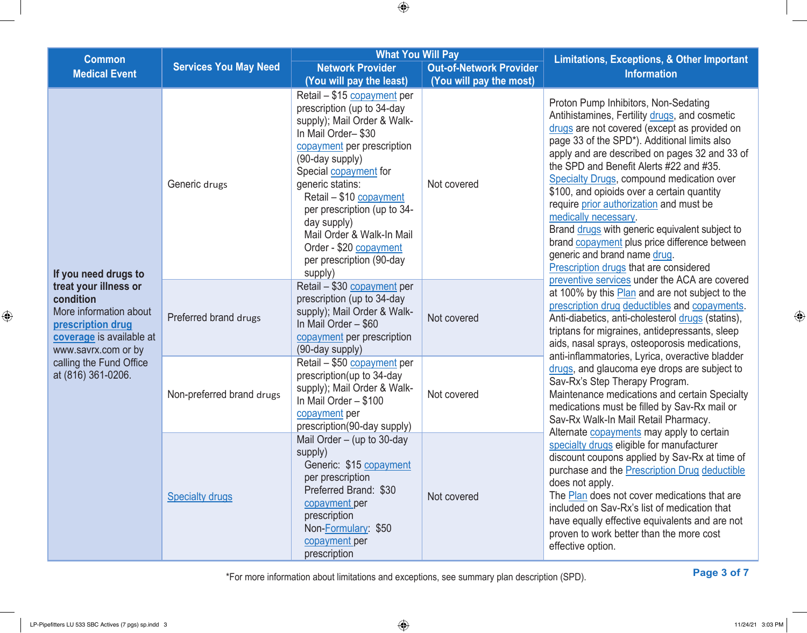|                                                                                                                                      |                              | <b>What You Will Pay</b>                                                                                                                                                                                                                                                                                                                                                                   |                                                                                                                                                                                                                                                                                                                         |                                                                                                                                                                                                                                                                                                                                                                                                                                                                                                                                                                                                                                                                                      |
|--------------------------------------------------------------------------------------------------------------------------------------|------------------------------|--------------------------------------------------------------------------------------------------------------------------------------------------------------------------------------------------------------------------------------------------------------------------------------------------------------------------------------------------------------------------------------------|-------------------------------------------------------------------------------------------------------------------------------------------------------------------------------------------------------------------------------------------------------------------------------------------------------------------------|--------------------------------------------------------------------------------------------------------------------------------------------------------------------------------------------------------------------------------------------------------------------------------------------------------------------------------------------------------------------------------------------------------------------------------------------------------------------------------------------------------------------------------------------------------------------------------------------------------------------------------------------------------------------------------------|
| <b>Common</b><br><b>Medical Event</b>                                                                                                | <b>Services You May Need</b> | <b>Network Provider</b>                                                                                                                                                                                                                                                                                                                                                                    | <b>Out-of-Network Provider</b>                                                                                                                                                                                                                                                                                          | Limitations, Exceptions, & Other Important<br><b>Information</b>                                                                                                                                                                                                                                                                                                                                                                                                                                                                                                                                                                                                                     |
|                                                                                                                                      |                              | (You will pay the least)                                                                                                                                                                                                                                                                                                                                                                   | (You will pay the most)                                                                                                                                                                                                                                                                                                 |                                                                                                                                                                                                                                                                                                                                                                                                                                                                                                                                                                                                                                                                                      |
| If you need drugs to                                                                                                                 | Generic drugs                | Retail - \$15 copayment per<br>prescription (up to 34-day<br>supply); Mail Order & Walk-<br>In Mail Order-\$30<br>copayment per prescription<br>(90-day supply)<br>Special <b>copayment</b> for<br>generic statins:<br>Retail - \$10 copayment<br>per prescription (up to 34-<br>day supply)<br>Mail Order & Walk-In Mail<br>Order - \$20 copayment<br>per prescription (90-day<br>supply) | Not covered                                                                                                                                                                                                                                                                                                             | Proton Pump Inhibitors, Non-Sedating<br>Antihistamines, Fertility drugs, and cosmetic<br>drugs are not covered (except as provided on<br>page 33 of the SPD*). Additional limits also<br>apply and are described on pages 32 and 33 of<br>the SPD and Benefit Alerts #22 and #35.<br><b>Specialty Drugs, compound medication over</b><br>\$100, and opioids over a certain quantity<br>require prior authorization and must be<br>medically necessary.<br>Brand drugs with generic equivalent subject to<br>brand copayment plus price difference between<br>generic and brand name drug.<br>Prescription drugs that are considered<br>preventive services under the ACA are covered |
| treat your illness or<br>condition<br>More information about<br>prescription drug<br>coverage is available at<br>www.savrx.com or by | Preferred brand drugs        | Retail - \$30 copayment per<br>prescription (up to 34-day<br>supply); Mail Order & Walk-<br>Not covered<br>In Mail Order - \$60<br>copayment per prescription<br>(90-day supply)<br>Retail - \$50 copayment per<br>prescription(up to 34-day<br>supply); Mail Order & Walk-<br>Not covered<br>In Mail Order - \$100<br>copayment per<br>prescription(90-day supply)                        | at 100% by this Plan and are not subject to the<br>prescription drug deductibles and copayments.<br>Anti-diabetics, anti-cholesterol drugs (statins),<br>triptans for migraines, antidepressants, sleep<br>aids, nasal sprays, osteoporosis medications,                                                                |                                                                                                                                                                                                                                                                                                                                                                                                                                                                                                                                                                                                                                                                                      |
| calling the Fund Office<br>at (816) 361-0206.                                                                                        | Non-preferred brand drugs    |                                                                                                                                                                                                                                                                                                                                                                                            | anti-inflammatories, Lyrica, overactive bladder<br>drugs, and glaucoma eye drops are subject to<br>Sav-Rx's Step Therapy Program.<br>Maintenance medications and certain Specialty<br>medications must be filled by Sav-Rx mail or<br>Sav-Rx Walk-In Mail Retail Pharmacy.<br>Alternate copayments may apply to certain |                                                                                                                                                                                                                                                                                                                                                                                                                                                                                                                                                                                                                                                                                      |
|                                                                                                                                      | <b>Specialty drugs</b>       | Mail Order $-$ (up to 30-day<br>supply)<br>Generic: \$15 copayment<br>per prescription<br>Preferred Brand: \$30<br>copayment per<br>prescription<br>Non-Formulary: \$50<br>copayment per<br>prescription                                                                                                                                                                                   | Not covered                                                                                                                                                                                                                                                                                                             | specialty drugs eligible for manufacturer<br>discount coupons applied by Sav-Rx at time of<br>purchase and the Prescription Drug deductible<br>does not apply.<br>The Plan does not cover medications that are<br>included on Sav-Rx's list of medication that<br>have equally effective equivalents and are not<br>proven to work better than the more cost<br>effective option.                                                                                                                                                                                                                                                                                                    |

**Page 3 of 7** \*For more information about limitations and exceptions, see summary plan description (SPD).

 $\bigoplus$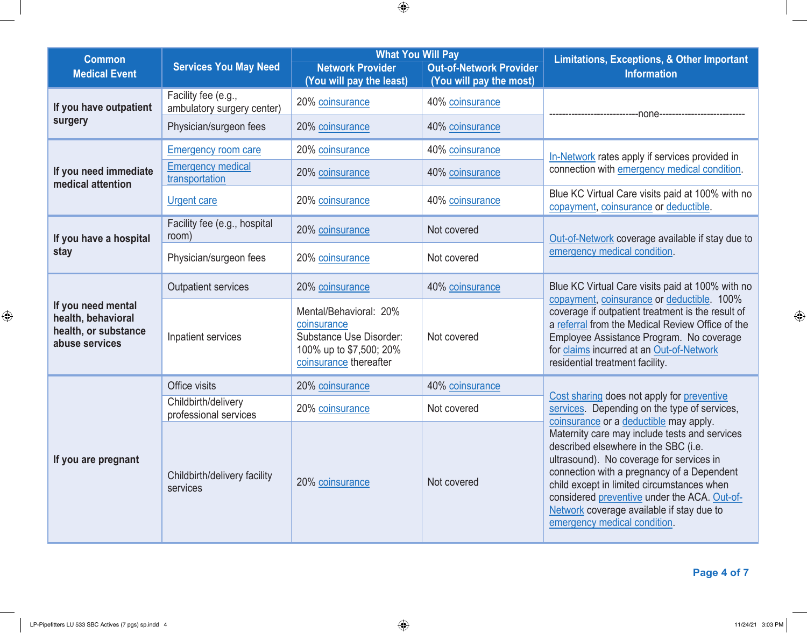| <b>Common</b><br><b>Medical Event</b>                                              | <b>Services You May Need</b>                      | <b>What You Will Pay</b><br><b>Network Provider</b><br>(You will pay the least)                                       | <b>Out-of-Network Provider</b><br>(You will pay the most) | <b>Limitations, Exceptions, &amp; Other Important</b><br><b>Information</b>                                                                                                                                                                                                                                                                                                                          |  |
|------------------------------------------------------------------------------------|---------------------------------------------------|-----------------------------------------------------------------------------------------------------------------------|-----------------------------------------------------------|------------------------------------------------------------------------------------------------------------------------------------------------------------------------------------------------------------------------------------------------------------------------------------------------------------------------------------------------------------------------------------------------------|--|
| If you have outpatient<br>surgery                                                  | Facility fee (e.g.,<br>ambulatory surgery center) | 20% coinsurance                                                                                                       | 40% coinsurance                                           | none                                                                                                                                                                                                                                                                                                                                                                                                 |  |
|                                                                                    | Physician/surgeon fees                            | 20% coinsurance                                                                                                       | 40% coinsurance                                           |                                                                                                                                                                                                                                                                                                                                                                                                      |  |
|                                                                                    | <b>Emergency room care</b>                        | 20% coinsurance                                                                                                       | 40% coinsurance                                           | In-Network rates apply if services provided in                                                                                                                                                                                                                                                                                                                                                       |  |
| If you need immediate<br>medical attention                                         | <b>Emergency medical</b><br>transportation        | 20% coinsurance                                                                                                       | 40% coinsurance                                           | connection with emergency medical condition.                                                                                                                                                                                                                                                                                                                                                         |  |
|                                                                                    | <b>Urgent care</b>                                | 20% coinsurance                                                                                                       | 40% coinsurance                                           | Blue KC Virtual Care visits paid at 100% with no<br>copayment, coinsurance or deductible.                                                                                                                                                                                                                                                                                                            |  |
| If you have a hospital                                                             | Facility fee (e.g., hospital<br>room)             | 20% coinsurance                                                                                                       | Not covered                                               | Out-of-Network coverage available if stay due to                                                                                                                                                                                                                                                                                                                                                     |  |
| stay                                                                               | Physician/surgeon fees                            | 20% coinsurance                                                                                                       | Not covered                                               | emergency medical condition.                                                                                                                                                                                                                                                                                                                                                                         |  |
| If you need mental<br>health, behavioral<br>health, or substance<br>abuse services | <b>Outpatient services</b>                        | 20% coinsurance                                                                                                       | 40% coinsurance                                           | Blue KC Virtual Care visits paid at 100% with no<br>copayment, coinsurance or deductible. 100%<br>coverage if outpatient treatment is the result of<br>a referral from the Medical Review Office of the<br>Employee Assistance Program. No coverage<br>for claims incurred at an Out-of-Network<br>residential treatment facility.                                                                   |  |
|                                                                                    | Inpatient services                                | Mental/Behavioral: 20%<br>coinsurance<br>Substance Use Disorder:<br>100% up to \$7,500; 20%<br>coinsurance thereafter | Not covered                                               |                                                                                                                                                                                                                                                                                                                                                                                                      |  |
|                                                                                    | Office visits                                     | 20% coinsurance                                                                                                       | 40% coinsurance                                           |                                                                                                                                                                                                                                                                                                                                                                                                      |  |
| If you are pregnant                                                                | Childbirth/delivery<br>professional services      | 20% coinsurance                                                                                                       | Not covered                                               | Cost sharing does not apply for preventive<br>services. Depending on the type of services,                                                                                                                                                                                                                                                                                                           |  |
|                                                                                    | Childbirth/delivery facility<br>services          | 20% coinsurance                                                                                                       | Not covered                                               | coinsurance or a deductible may apply.<br>Maternity care may include tests and services<br>described elsewhere in the SBC (i.e.<br>ultrasound). No coverage for services in<br>connection with a pregnancy of a Dependent<br>child except in limited circumstances when<br>considered preventive under the ACA. Out-of-<br>Network coverage available if stay due to<br>emergency medical condition. |  |

**Page 4 of 7**

 $\bigoplus$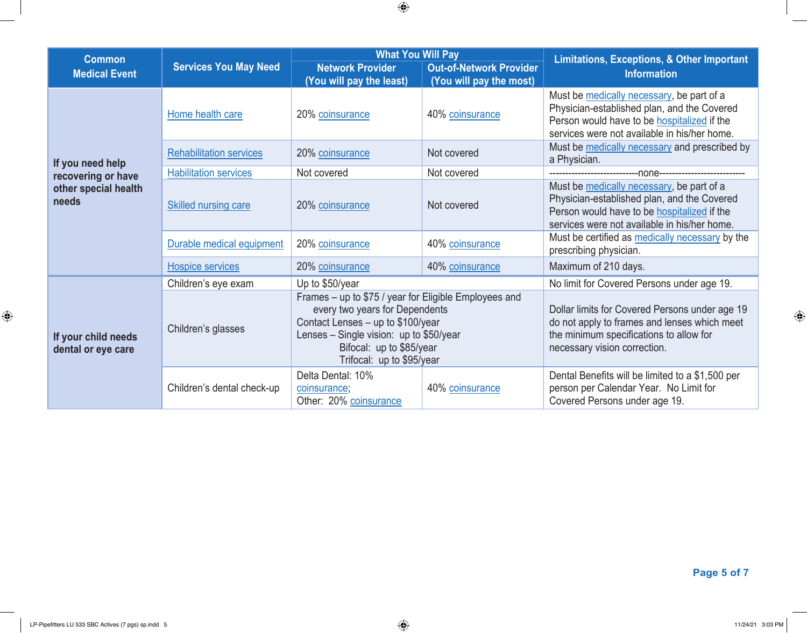| <b>Common</b>                             |                                | <b>What You Will Pay</b>                                                                                                                                                                                                           |                                                           | <b>Limitations, Exceptions, &amp; Other Important</b>                                                                                                                                          |  |
|-------------------------------------------|--------------------------------|------------------------------------------------------------------------------------------------------------------------------------------------------------------------------------------------------------------------------------|-----------------------------------------------------------|------------------------------------------------------------------------------------------------------------------------------------------------------------------------------------------------|--|
| <b>Medical Event</b>                      | <b>Services You May Need</b>   | <b>Network Provider</b><br>(You will pay the least)                                                                                                                                                                                | <b>Out-of-Network Provider</b><br>(You will pay the most) | <b>Information</b>                                                                                                                                                                             |  |
| If you need help                          | Home health care               | 20% coinsurance                                                                                                                                                                                                                    | 40% coinsurance                                           | Must be medically necessary, be part of a<br>Physician-established plan, and the Covered<br>Person would have to be <b>hospitalized</b> if the<br>services were not available in his/her home. |  |
|                                           | <b>Rehabilitation services</b> | 20% coinsurance                                                                                                                                                                                                                    | Not covered                                               | Must be medically necessary and prescribed by<br>a Physician.                                                                                                                                  |  |
| recovering or have                        | <b>Habilitation services</b>   | Not covered                                                                                                                                                                                                                        | Not covered                                               |                                                                                                                                                                                                |  |
| other special health<br>needs             | <b>Skilled nursing care</b>    | 20% coinsurance                                                                                                                                                                                                                    | Not covered                                               | Must be medically necessary, be part of a<br>Physician-established plan, and the Covered<br>Person would have to be hospitalized if the<br>services were not available in his/her home.        |  |
|                                           | Durable medical equipment      | 20% coinsurance                                                                                                                                                                                                                    | 40% coinsurance                                           | Must be certified as medically necessary by the<br>prescribing physician.                                                                                                                      |  |
|                                           | Hospice services               | 20% coinsurance                                                                                                                                                                                                                    | 40% coinsurance                                           | Maximum of 210 days.                                                                                                                                                                           |  |
|                                           | Children's eye exam            | Up to \$50/year                                                                                                                                                                                                                    |                                                           | No limit for Covered Persons under age 19.                                                                                                                                                     |  |
| If your child needs<br>dental or eye care | Children's glasses             | Frames - up to \$75 / year for Eligible Employees and<br>every two years for Dependents<br>Contact Lenses - up to \$100/year<br>Lenses $-$ Single vision: up to \$50/year<br>Bifocal: up to \$85/year<br>Trifocal: up to \$95/year |                                                           | Dollar limits for Covered Persons under age 19<br>do not apply to frames and lenses which meet<br>the minimum specifications to allow for<br>necessary vision correction.                      |  |
|                                           | Children's dental check-up     | Delta Dental: 10%<br>coinsurance;<br>Other: 20% coinsurance                                                                                                                                                                        | 40% coinsurance                                           | Dental Benefits will be limited to a \$1,500 per<br>person per Calendar Year. No Limit for<br>Covered Persons under age 19.                                                                    |  |

**Page 5 of 7**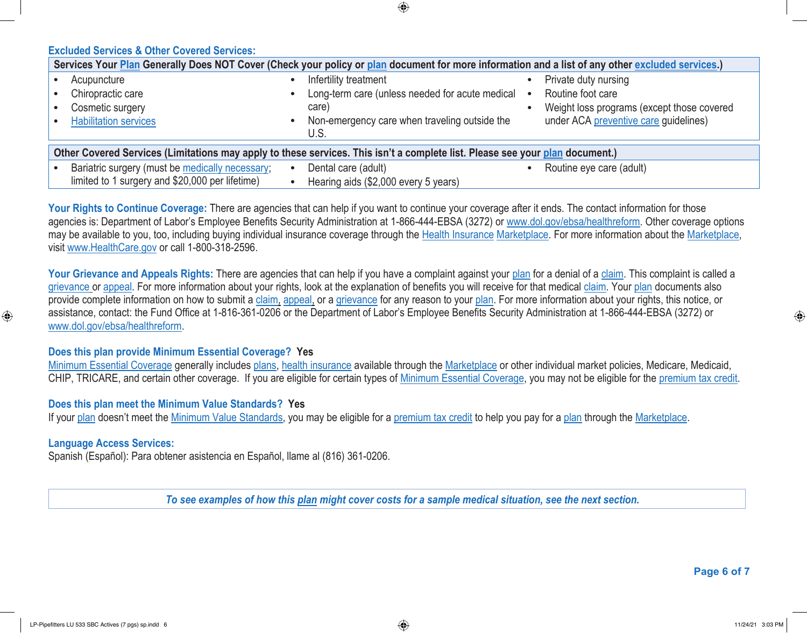**Excluded Services & Other Covered Services:**

| Services Your Plan Generally Does NOT Cover (Check your policy or plan document for more information and a list of any other excluded services.) |                                                 |                                            |  |  |  |  |
|--------------------------------------------------------------------------------------------------------------------------------------------------|-------------------------------------------------|--------------------------------------------|--|--|--|--|
| Acupuncture                                                                                                                                      | Infertility treatment                           | Private duty nursing                       |  |  |  |  |
| Chiropractic care                                                                                                                                | Long-term care (unless needed for acute medical | Routine foot care                          |  |  |  |  |
| Cosmetic surgery                                                                                                                                 | care)                                           | Weight loss programs (except those covered |  |  |  |  |
| <b>Habilitation services</b>                                                                                                                     | Non-emergency care when traveling outside the   | under ACA preventive care guidelines)      |  |  |  |  |
|                                                                                                                                                  | U.S.                                            |                                            |  |  |  |  |
| Other Covered Services (Limitations may apply to these services. This isn't a complete list. Please see your plan document.)                     |                                                 |                                            |  |  |  |  |
| Bariatric surgery (must be medically necessary;                                                                                                  | Dental care (adult)                             | Routine eye care (adult)                   |  |  |  |  |
| limited to 1 surgery and \$20,000 per lifetime)                                                                                                  | Hearing aids (\$2,000 every 5 years)            |                                            |  |  |  |  |

⊕

Your Rights to Continue Coverage: There are agencies that can help if you want to continue your coverage after it ends. The contact information for those agencies is: Department of Labor's Employee Benefits Security Administration at 1-866-444-EBSA (3272) or www.dol.gov/ebsa/healthreform. Other coverage options may be available to you, too, including buying individual insurance coverage through the Health Insurance Marketplace. For more information about the Marketplace, visit www.HealthCare.gov or call 1-800-318-2596.

Your Grievance and Appeals Rights: There are agencies that can help if you have a complaint against your plan for a denial of a claim. This complaint is called a grievance or appeal. For more information about your rights, look at the explanation of benefits you will receive for that medical claim. Your plan documents also provide complete information on how to submit a claim, appeal, or a grievance for any reason to your plan. For more information about your rights, this notice, or assistance, contact: the Fund Office at 1-816-361-0206 or the Department of Labor's Employee Benefits Security Administration at 1-866-444-EBSA (3272) or www.dol.gov/ebsa/healthreform.

### **Does this plan provide Minimum Essential Coverage? Yes**

Minimum Essential Coverage generally includes plans, health insurance available through the Marketplace or other individual market policies, Medicare, Medicaid, CHIP, TRICARE, and certain other coverage. If you are eligible for certain types of Minimum Essential Coverage, you may not be eligible for the premium tax credit.

### **Does this plan meet the Minimum Value Standards? Yes**

If your plan doesn't meet the Minimum Value Standards, you may be eligible for a premium tax credit to help you pay for a plan through the Marketplace.

### **Language Access Services:**

 $\bigoplus$ 

Spanish (Español): Para obtener asistencia en Español, llame al (816) 361-0206.

*To see examples of how this plan might cover costs for a sample medical situation, see the next section.*

**Page 6 of 7**

⊕